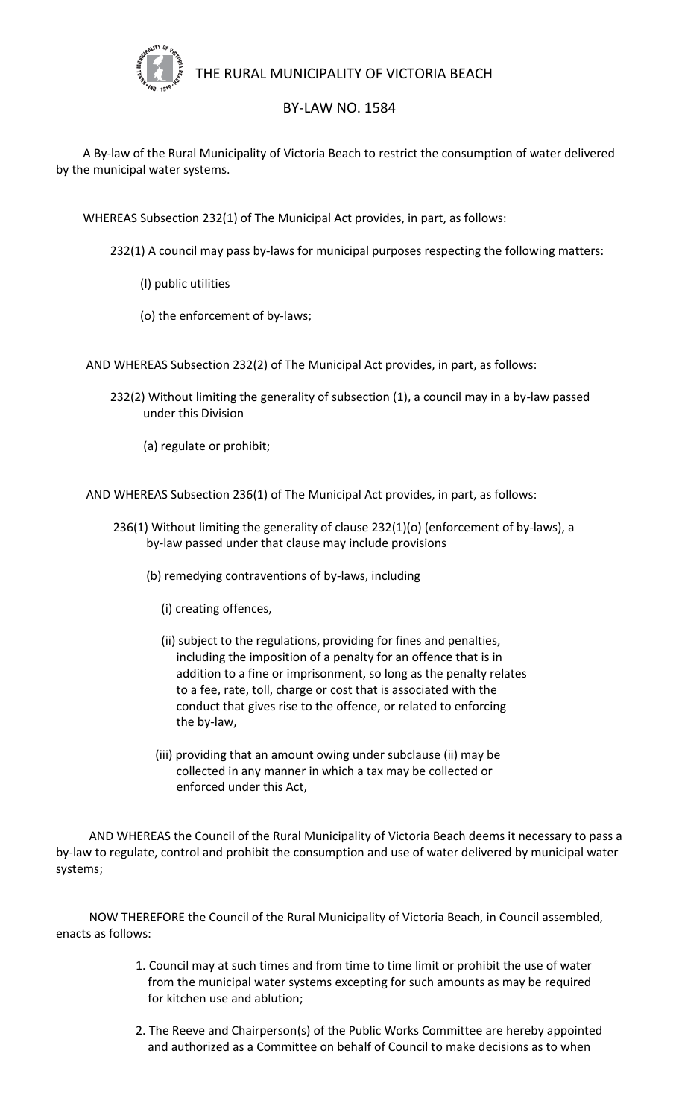

## THE RURAL MUNICIPALITY OF VICTORIA BEACH

## BY-LAW NO. 1584

 A By-law of the Rural Municipality of Victoria Beach to restrict the consumption of water delivered by the municipal water systems.

WHEREAS Subsection 232(1) of The Municipal Act provides, in part, as follows:

232(1) A council may pass by-laws for municipal purposes respecting the following matters:

- (l) public utilities
- (o) the enforcement of by-laws;

AND WHEREAS Subsection 232(2) of The Municipal Act provides, in part, as follows:

- 232(2) Without limiting the generality of subsection (1), a council may in a by-law passed under this Division
	- (a) regulate or prohibit;

AND WHEREAS Subsection 236(1) of The Municipal Act provides, in part, as follows:

- 236(1) Without limiting the generality of clause 232(1)(o) (enforcement of by-laws), a by-law passed under that clause may include provisions
	- (b) remedying contraventions of by-laws, including
		- (i) creating offences,
		- (ii) subject to the regulations, providing for fines and penalties, including the imposition of a penalty for an offence that is in addition to a fine or imprisonment, so long as the penalty relates to a fee, rate, toll, charge or cost that is associated with the conduct that gives rise to the offence, or related to enforcing the by-law,
		- (iii) providing that an amount owing under subclause (ii) may be collected in any manner in which a tax may be collected or enforced under this Act,

 AND WHEREAS the Council of the Rural Municipality of Victoria Beach deems it necessary to pass a by-law to regulate, control and prohibit the consumption and use of water delivered by municipal water systems;

 NOW THEREFORE the Council of the Rural Municipality of Victoria Beach, in Council assembled, enacts as follows:

- 1. Council may at such times and from time to time limit or prohibit the use of water from the municipal water systems excepting for such amounts as may be required for kitchen use and ablution;
- 2. The Reeve and Chairperson(s) of the Public Works Committee are hereby appointed and authorized as a Committee on behalf of Council to make decisions as to when